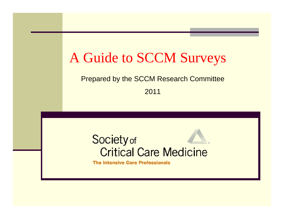## A Guide to SCCM Surveys

#### Prepared by the SCCM Research Committee

2011



**The Intensive Care Professionals**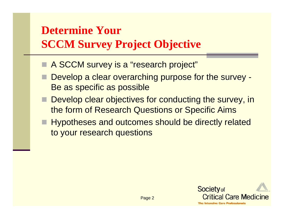### **Determine Your SCCM Survey Project Objective**

- A SCCM survey is a "research project"
- Develop a clear overarching purpose for the survey -Be as specific as possible
- **Develop clear objectives for conducting the survey, in** the form of Research Questions or Specific Aims
- Hypotheses and outcomes should be directly related to your research questions

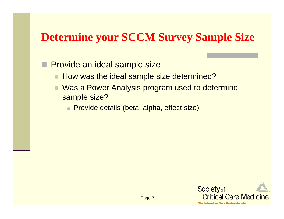#### **Determine your SCCM Survey Sample Size**

- **Provide an ideal sample size** 
	- How was the ideal sample size determined?
	- Was a Power Analysis program used to determine sample size?
		- Provide details (beta, alpha, effect size)

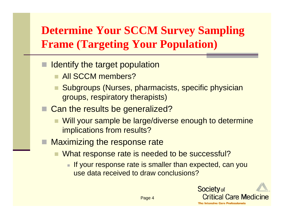#### **Determine Your SCCM Survey Sampling Frame (Targeting Your Population)**

- Identify the target population
	- **All SCCM members?**
	- Subgroups (Nurses, pharmacists, specific physician groups, respiratory therapists)
- Can the results be generalized?
	- Will your sample be large/diverse enough to determine implications from results?
- Maximizing the response rate
	- What response rate is needed to be successful?
		- $\blacksquare$  If your response rate is smaller than expected, can you use data received to draw conclusions?

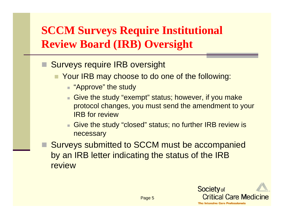### **SCCM Surveys Require Institutional Review Board (IRB) Oversight**

- Surveys require IRB oversight
	- **The Your IRB may choose to do one of the following:** 
		- "Approve" the study
		- Give the study "exempt" status; however, if you make protocol changes, you must send the amendment to your IRB for review
		- Give the study "closed" status; no further IRB review is necessary
- Surveys submitted to SCCM must be accompanied by an IRB letter indicating the status of the IRB review

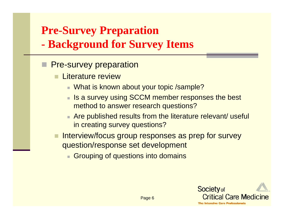#### **Pre-Survey Preparation**

**- Background for Survey Items**

- **Pre-survey preparation** 
	- Literature review
		- What is known about your topic /sample?
		- Is a survey using SCCM member responses the best method to answer research questions?
		- Are published results from the literature relevant/ useful in creating survey questions?
	- Interview/focus group responses as prep for survey question/response set development
		- **Grouping of questions into domains**

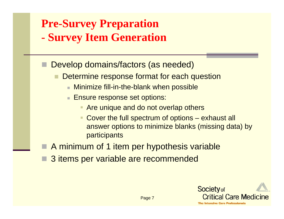# **Pre-Survey Preparation**

- **- Survey Item Generation**
- Develop domains/factors (as needed)
	- Determine response format for each question
		- Minimize fill-in-the-blank when possible
		- Ensure response set options:
			- **Are unique and do not overlap others**
			- $\blacksquare$  Cover the full spectrum of options – exhaust all answer options to minimize blanks (missing data) by participants
- A minimum of 1 item per hypothesis variable
- 3 items per variable are recommended

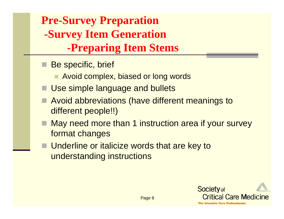**Pre-Survey Preparation -Survey Item Generation -Preparing Item Stems**

- Be specific, brief
	- **Avoid complex, biased or long words**
- Use simple language and bullets
- Avoid abbreviations (have different meanings to different people!!)
- May need more than 1 instruction area if your survey format changes
- Underline or italicize words that are key to understanding instructions

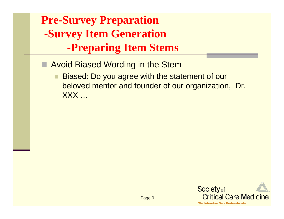**Pre-Survey Preparation -Survey Item Generation -Preparing Item Stems**

- **E** Avoid Biased Wording in the Stem
	- Biased: Do you agree with the statement of our beloved mentor and founder of our organization, Dr. XXX …

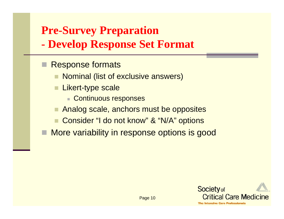### **Pre-Survey Preparation**

- **- Develop Response Set Format**
- Response formats
	- Nominal (list of exclusive answers)
	- Likert-type scale
		- **Continuous responses**
	- Analog scale, anchors must be opposites
	- Consider "I do not know" & "N/A" options
- More variability in response options is good

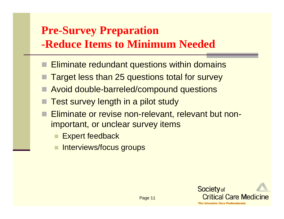#### **Pre-Survey Preparation -Reduce Items to Minimum Needed**

- $\blacksquare$  Eliminate redundant questions within domains
- Target less than 25 questions total for survey
- Avoid double-barreled/compound questions
- Test survey length in a pilot study
- Eliminate or revise non-relevant, relevant but nonimportant, or unclear survey items
	- Expert feedback
	- Interviews/focus groups

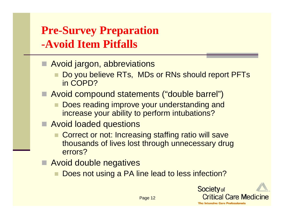#### **Pre-Survey Preparation -Avoid Item Pitfalls**

- Avoid jargon, abbreviations
	- Do you believe RTs, MDs or RNs should report PFTs in COPD?
- Avoid compound statements ("double barrel")
	- Does reading improve your understanding and increase your ability to perform intubations?
- Avoid loaded questions
	- Correct or not: Increasing staffing ratio will save thousands of lives lost through unnecessary drug errors?
- Avoid double negatives
	- Does not using a PA line lead to less infection?

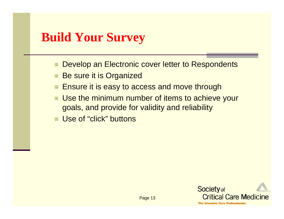#### **Build Your Survey**

- Develop an Electronic cover letter to Respondents
- Be sure it is Organized
- Ensure it is easy to access and move through
- $\mathbf{r}$ Use the minimum number of items to achieve your goals, and provide for validity and reliability
- Use of "click" buttons

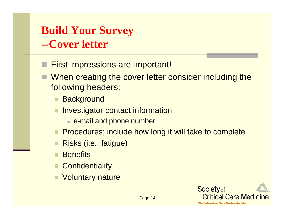#### **Build Your Survey --Cover letter**

- First impressions are important!
- When creating the cover letter consider including the following headers:
	- **Background**
	- Investigator contact information
		- $\blacksquare$  e-mail and phone number
	- **Procedures; include how long it will take to complete**
	- Risks (i.e., fatigue)
	- **Benefits**
	- **Confidentiality**
	- Voluntary nature

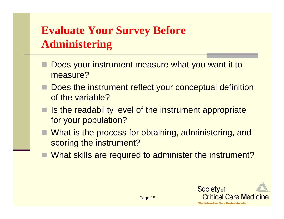#### **Evaluate Your Survey Before Administering**

- Does your instrument measure what you want it to measure?
- Does the instrument reflect your conceptual definition of the variable?
- $\blacksquare$  Is the readability level of the instrument appropriate for your population?
- What is the process for obtaining, administering, and scoring the instrument?
- What skills are required to administer the instrument?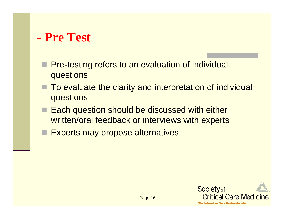#### **- Pre Test**

- **Pre-testing refers to an evaluation of individual** questions
- To evaluate the clarity and interpretation of individual questions
- $\blacksquare$  Each question should be discussed with either written/oral feedback or interviews with experts
- **Experts may propose alternatives**

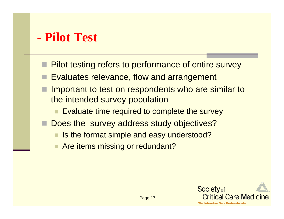#### **- Pilot Test**

- Pilot testing refers to performance of entire survey
- Evaluates relevance, flow and arrangement
- Important to test on respondents who are similar to the intended survey population
	- **Evaluate time required to complete the survey**
- Does the survey address study objectives?
	- Is the format simple and easy understood?
	- **Are items missing or redundant?**

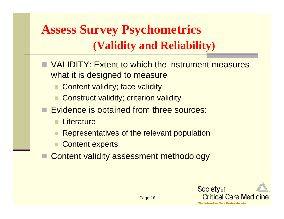### **Assess Survey Psychometrics (Validity and Reliability)**

- VALIDITY: Extent to which the instrument measures what it is designed to measure
	- Content validity; face validity
	- Construct validity; criterion validity
- **Exidence is obtained from three sources:** 
	- **Literature**
	- Representatives of the relevant population
	- Content experts
- Content validity assessment methodology



Page 18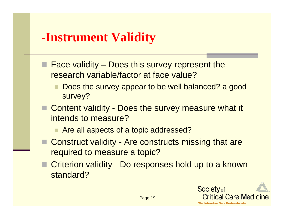#### **-Instrument Validity**

- $\blacksquare$  Face validity Does this survey represent the research variable/factor at face value?
	- Does the survey appear to be well balanced? a good survey?
- Content validity Does the survey measure what it intends to measure?
	- Are all aspects of a topic addressed?
- Construct validity Are constructs missing that are required to measure a topic?
- Criterion validity Do responses hold up to a known standard?

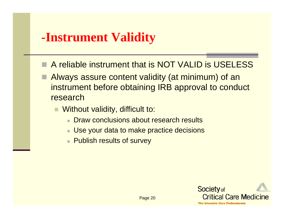#### **-Instrument Validity**

- A reliable instrument that is NOT VALID is USELESS
- Always assure content validity (at minimum) of an instrument before obtaining IRB approval to conduct research
	- Without validity, difficult to:
		- Draw conclusions about research results
		- Use your data to make practice decisions
		- Publish results of survey

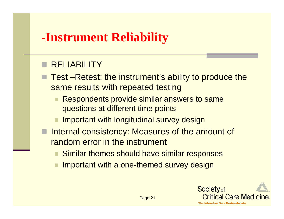#### **-Instrument Reliability**

#### **RELIABILITY**

■ Test –Retest: the instrument's ability to produce the same results with repeated testing

- Respondents provide similar answers to same questions at different time points
- Important with longitudinal survey design
- **Internal consistency: Measures of the amount of** random error in the instrument
	- Similar themes should have similar responses
	- Important with a one-themed survey design



Page 21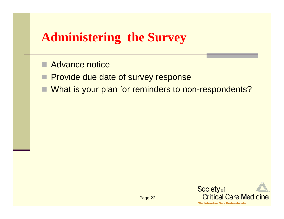#### **Administering the Survey**

- Advance notice
- **Provide due date of survey response**
- What is your plan for reminders to non-respondents?

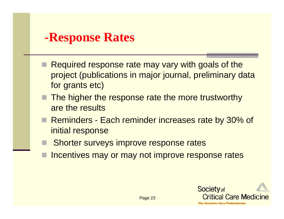#### **-Response Rates**

- Required response rate may vary with goals of the project (publications in major journal, preliminary data for grants etc)
- $\blacksquare$  The higher the response rate the more trustworthy are the results
- Reminders Each reminder increases rate by 30% of initial response
- Shorter surveys improve response rates
- Incentives may or may not improve response rates

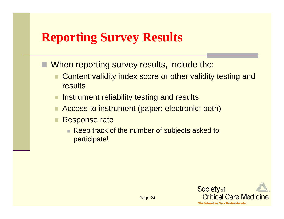#### **Reporting Survey Results**

- When reporting survey results, include the:
	- Content validity index score or other validity testing and **results**
	- Instrument reliability testing and results
	- Access to instrument (paper; electronic; both)
	- Response rate
		- Keep track of the number of subjects asked to participate!

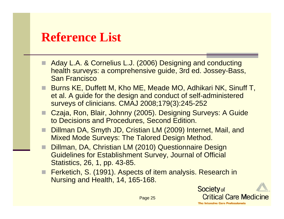#### **Reference List**

- Aday L.A. & Cornelius L.J. (2006) Designing and conducting health surveys: a comprehensive guide, 3rd ed. Jossey-Bass, San Francisco
- Burns KE, Duffett M, Kho ME, Meade MO, Adhikari NK, Sinuff T, et al. A guide for the design and conduct of self-administered surveys of clinicians. CMAJ 2008;179(3):245-252
- Czaja, Ron, Blair, Johnny (2005). Designing Surveys: A Guide to Decisions and Procedures, Second Edition.
- Dillman DA, Smyth JD, Cristian LM (2009) Internet, Mail, and Mixed Mode Surveys: The Talored Design Method.
- Dillman, DA, Christian LM (2010) Questionnaire Design Guidelines for Establishment Survey, Journal of Official Statistics, 26, 1, pp. 43-85.
- Ferketich, S. (1991). Aspects of item analysis. Research in Nursing and Health, 14, 165-168.

**Society** of **Critical Care Medicine The Intensive Care Professionals** 

Page 25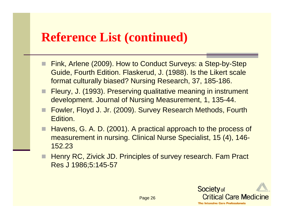#### **Reference List (continued)**

- Fink, Arlene (2009). How to Conduct Surveys: a Step-by-Step Guide, Fourth Edition. Flaskerud, J. (1988). Is the Likert scale format culturally biased? Nursing Research, 37, 185-186.
- Fleury, J. (1993). Preserving qualitative meaning in instrument development. Journal of Nursing Measurement, 1, 135-44.
- Fowler, Floyd J. Jr. (2009). Survey Research Methods, Fourth Edition.
- Havens, G. A. D. (2001). A practical approach to the process of measurement in nursing. Clinical Nurse Specialist, 15 (4), 146- 152.23
- Henry RC, Zivick JD. Principles of survey research. Fam Pract Res J 1986;5:145-57

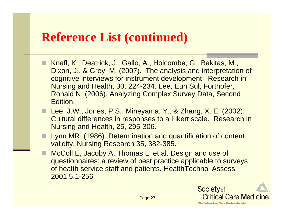#### **Reference List (continued)**

- Knafl, K., Deatrick, J., Gallo, A., Holcombe, G., Bakitas, M., Dixon, J., & Grey, M. (2007). The analysis and interpretation of cognitive interviews for instrument development. Research in Nursing and Health, 30, 224-234. Lee, Eun Sul, Forthofer, Ronald N. (2006). Analyzing Complex Survey Data, Second Edition.
- Lee, J.W., Jones, P.S., Mineyama, Y., & Zhang, X. E. (2002). Cultural differences in responses to a Likert scale. Research in Nursing and Health, 25, 295-306.
- П Lynn MR. (1986). Determination and quantification of content validity. Nursing Research 35, 382-385.
- П McColl E, Jacoby A, Thomas L, et al. Design and use of questionnaires: a review of best practice applicable to surveys of health service staff and patients. HealthTechnol Assess 2001;5.1-256